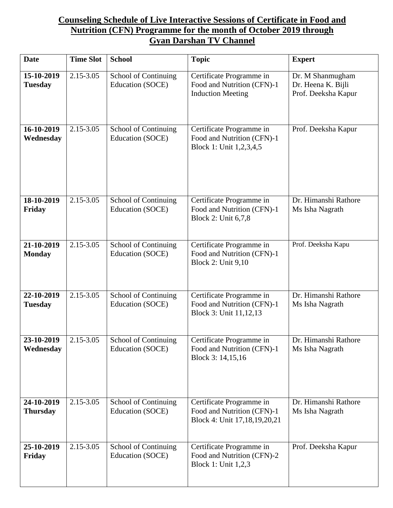## **Counseling Schedule of Live Interactive Sessions of Certificate in Food and Nutrition (CFN) Programme for the month of October 2019 through Gyan Darshan TV Channel**

| <b>Date</b>                   | <b>Time Slot</b> | <b>School</b>                                   | <b>Topic</b>                                                                           | <b>Expert</b>                                                 |
|-------------------------------|------------------|-------------------------------------------------|----------------------------------------------------------------------------------------|---------------------------------------------------------------|
| 15-10-2019<br><b>Tuesday</b>  | 2.15-3.05        | School of Continuing<br>Education (SOCE)        | Certificate Programme in<br>Food and Nutrition (CFN)-1<br><b>Induction Meeting</b>     | Dr. M Shanmugham<br>Dr. Heena K. Bijli<br>Prof. Deeksha Kapur |
| 16-10-2019<br>Wednesday       | 2.15-3.05        | School of Continuing<br>Education (SOCE)        | Certificate Programme in<br>Food and Nutrition (CFN)-1<br>Block 1: Unit 1,2,3,4,5      | Prof. Deeksha Kapur                                           |
| 18-10-2019<br>Friday          | 2.15-3.05        | School of Continuing<br><b>Education (SOCE)</b> | Certificate Programme in<br>Food and Nutrition (CFN)-1<br>Block 2: Unit 6,7,8          | Dr. Himanshi Rathore<br>Ms Isha Nagrath                       |
| 21-10-2019<br><b>Monday</b>   | 2.15-3.05        | School of Continuing<br>Education (SOCE)        | Certificate Programme in<br>Food and Nutrition (CFN)-1<br><b>Block 2: Unit 9,10</b>    | Prof. Deeksha Kapu                                            |
| 22-10-2019<br><b>Tuesday</b>  | 2.15-3.05        | School of Continuing<br>Education (SOCE)        | Certificate Programme in<br>Food and Nutrition (CFN)-1<br>Block 3: Unit 11,12,13       | Dr. Himanshi Rathore<br>Ms Isha Nagrath                       |
| 23-10-2019<br>Wednesday       | 2.15-3.05        | School of Continuing<br>Education (SOCE)        | Certificate Programme in<br>Food and Nutrition (CFN)-1<br>Block 3: 14,15,16            | Dr. Himanshi Rathore<br>Ms Isha Nagrath                       |
| 24-10-2019<br><b>Thursday</b> | $2.15 - 3.05$    | School of Continuing<br>Education (SOCE)        | Certificate Programme in<br>Food and Nutrition (CFN)-1<br>Block 4: Unit 17,18,19,20,21 | Dr. Himanshi Rathore<br>Ms Isha Nagrath                       |
| 25-10-2019<br>Friday          | 2.15-3.05        | School of Continuing<br>Education (SOCE)        | Certificate Programme in<br>Food and Nutrition (CFN)-2<br>Block 1: Unit 1,2,3          | Prof. Deeksha Kapur                                           |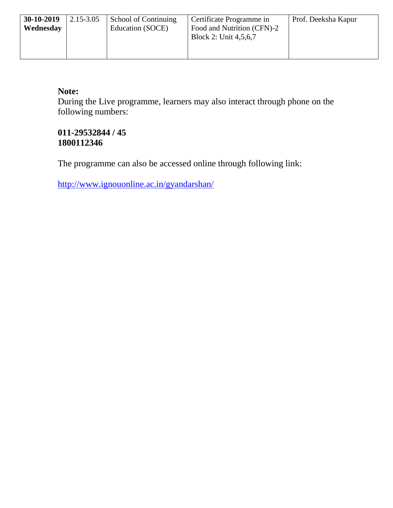| $30-10-2019$<br>Wednesday | 2.15-3.05 | School of Continuing<br>Education (SOCE) | Certificate Programme in<br>Food and Nutrition (CFN)-2<br>Block 2: Unit 4,5,6,7 | Prof. Deeksha Kapur |
|---------------------------|-----------|------------------------------------------|---------------------------------------------------------------------------------|---------------------|
|                           |           |                                          |                                                                                 |                     |

## **Note:**

During the Live programme, learners may also interact through phone on the following numbers:

## **011-29532844 / 45 1800112346**

The programme can also be accessed online through following link:

<http://www.ignouonline.ac.in/gyandarshan/>